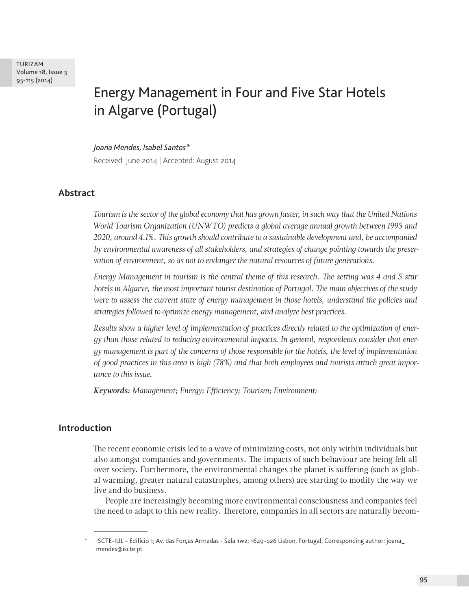TURIZAM Volume 18, Issue 3 95-115 (2014)

# Energy Management in Four and Five Star Hotels in Algarve (Portugal)

*Joana Mendes, Isabel Santos\**

Received: June 2014 | Accepted: August 2014

# **Abstract**

*Tourism is the sector of the global economy that has grown faster, in such way that the United Nations World Tourism Organization (UNWTO) predicts a global average annual growth between 1995 and 2020, around 4.1%. This growth should contribute to a sustainable development and, be accompanied by environmental awareness of all stakeholders, and strategies of change pointing towards the preservation of environment, so as not to endanger the natural resources of future generations.*

*Energy Management in tourism is the central theme of this research. The setting was 4 and 5 star hotels in Algarve, the most important tourist destination of Portugal. The main objectives of the study were to assess the current state of energy management in those hotels, understand the policies and strategies followed to optimize energy management, and analyze best practices.*

*Results show a higher level of implementation of practices directly related to the optimization of energy than those related to reducing environmental impacts. In general, respondents consider that energy management is part of the concerns of those responsible for the hotels, the level of implementation of good practices in this area is high (78%) and that both employees and tourists attach great importance to this issue.*

*Keywords: Management; Energy; Efficiency; Tourism; Environment;*

## **Introduction**

The recent economic crisis led to a wave of minimizing costs, not only within individuals but also amongst companies and governments. The impacts of such behaviour are being felt all over society. Furthermore, the environmental changes the planet is suffering (such as global warming, greater natural catastrophes, among others) are starting to modify the way we live and do business.

People are increasingly becoming more environmental consciousness and companies feel the need to adapt to this new reality. Therefore, companies in all sectors are naturally becom-

<sup>\*</sup> ISCTE-IUL – Edifício 1; Av. das Forças Armadas - Sala 1w2; 1649-026 Lisbon, Portugal; Corresponding author: joana\_ mendes@iscte.pt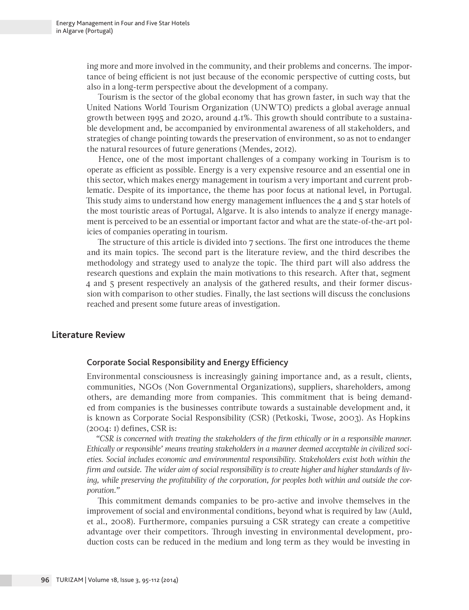ing more and more involved in the community, and their problems and concerns. The importance of being efficient is not just because of the economic perspective of cutting costs, but also in a long-term perspective about the development of a company.

Tourism is the sector of the global economy that has grown faster, in such way that the United Nations World Tourism Organization (UNWTO) predicts a global average annual growth between 1995 and 2020, around 4.1%. This growth should contribute to a sustainable development and, be accompanied by environmental awareness of all stakeholders, and strategies of change pointing towards the preservation of environment, so as not to endanger the natural resources of future generations (Mendes, 2012).

Hence, one of the most important challenges of a company working in Tourism is to operate as efficient as possible. Energy is a very expensive resource and an essential one in this sector, which makes energy management in tourism a very important and current problematic. Despite of its importance, the theme has poor focus at national level, in Portugal. This study aims to understand how energy management influences the 4 and 5 star hotels of the most touristic areas of Portugal, Algarve. It is also intends to analyze if energy management is perceived to be an essential or important factor and what are the state-of-the-art policies of companies operating in tourism.

The structure of this article is divided into 7 sections. The first one introduces the theme and its main topics. The second part is the literature review, and the third describes the methodology and strategy used to analyze the topic. The third part will also address the research questions and explain the main motivations to this research. After that, segment 4 and 5 present respectively an analysis of the gathered results, and their former discussion with comparison to other studies. Finally, the last sections will discuss the conclusions reached and present some future areas of investigation.

## **Literature Review**

#### Corporate Social Responsibility and Energy Efficiency

Environmental consciousness is increasingly gaining importance and, as a result, clients, communities, NGOs (Non Governmental Organizations), suppliers, shareholders, among others, are demanding more from companies. This commitment that is being demanded from companies is the businesses contribute towards a sustainable development and, it is known as Corporate Social Responsibility (CSR) (Petkoski, Twose, 2003). As Hopkins (2004: 1) defines, CSR is:

*"CSR is concerned with treating the stakeholders of the firm ethically or in a responsible manner. Ethically or responsible' means treating stakeholders in a manner deemed acceptable in civilized societies. Social includes economic and environmental responsibility. Stakeholders exist both within the firm and outside. The wider aim of social responsibility is to create higher and higher standards of living, while preserving the profitability of the corporation, for peoples both within and outside the corporation."*

This commitment demands companies to be pro-active and involve themselves in the improvement of social and environmental conditions, beyond what is required by law (Auld, et al., 2008). Furthermore, companies pursuing a CSR strategy can create a competitive advantage over their competitors. Through investing in environmental development, production costs can be reduced in the medium and long term as they would be investing in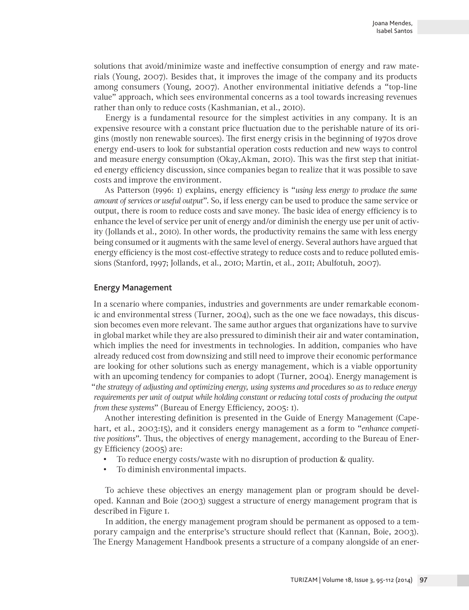solutions that avoid/minimize waste and ineffective consumption of energy and raw materials (Young, 2007). Besides that, it improves the image of the company and its products among consumers (Young, 2007). Another environmental initiative defends a "top-line value" approach, which sees environmental concerns as a tool towards increasing revenues rather than only to reduce costs (Kashmanian, et al., 2010).

Energy is a fundamental resource for the simplest activities in any company. It is an expensive resource with a constant price fluctuation due to the perishable nature of its origins (mostly non renewable sources). The first energy crisis in the beginning of 1970s drove energy end-users to look for substantial operation costs reduction and new ways to control and measure energy consumption (Okay,Akman, 2010). This was the first step that initiated energy efficiency discussion, since companies began to realize that it was possible to save costs and improve the environment.

As Patterson (1996: 1) explains, energy efficiency is "*using less energy to produce the same amount of services or useful output*". So, if less energy can be used to produce the same service or output, there is room to reduce costs and save money. The basic idea of energy efficiency is to enhance the level of service per unit of energy and/or diminish the energy use per unit of activity (Jollands et al., 2010). In other words, the productivity remains the same with less energy being consumed or it augments with the same level of energy. Several authors have argued that energy efficiency is the most cost-effective strategy to reduce costs and to reduce polluted emissions (Stanford, 1997; Jollands, et al., 2010; Martin, et al., 2011; Abulfotuh, 2007).

## Energy Management

In a scenario where companies, industries and governments are under remarkable economic and environmental stress (Turner, 2004), such as the one we face nowadays, this discussion becomes even more relevant. The same author argues that organizations have to survive in global market while they are also pressured to diminish their air and water contamination, which implies the need for investments in technologies. In addition, companies who have already reduced cost from downsizing and still need to improve their economic performance are looking for other solutions such as energy management, which is a viable opportunity with an upcoming tendency for companies to adopt (Turner, 2004). Energy management is "*the strategy of adjusting and optimizing energy, using systems and procedures so as to reduce energy requirements per unit of output while holding constant or reducing total costs of producing the output from these systems*" (Bureau of Energy Efficiency, 2005: 1).

Another interesting definition is presented in the Guide of Energy Management (Capehart, et al., 2003:15), and it considers energy management as a form to "*enhance competitive positions*". Thus, the objectives of energy management, according to the Bureau of Energy Efficiency (2005) are:

- To reduce energy costs/waste with no disruption of production & quality.
- To diminish environmental impacts.

To achieve these objectives an energy management plan or program should be developed. Kannan and Boie (2003) suggest a structure of energy management program that is described in Figure 1.

In addition, the energy management program should be permanent as opposed to a temporary campaign and the enterprise's structure should reflect that (Kannan, Boie, 2003). The Energy Management Handbook presents a structure of a company alongside of an ener-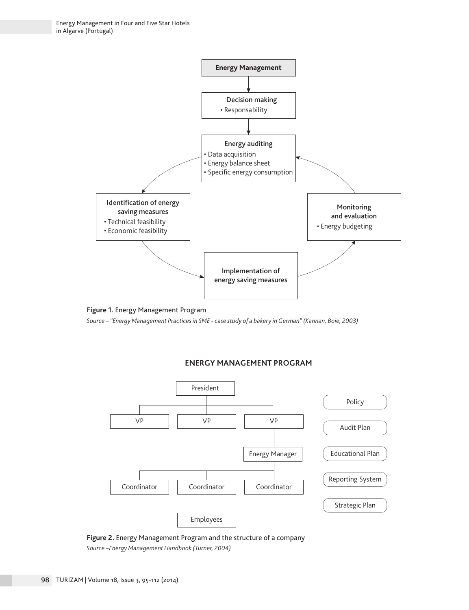



*Source – "Energy Management Practices in SME - case study of a bakery in German" (Kannan, Boie, 2003)*

#### **ENERGY MANAGEMENT PROGRAM**



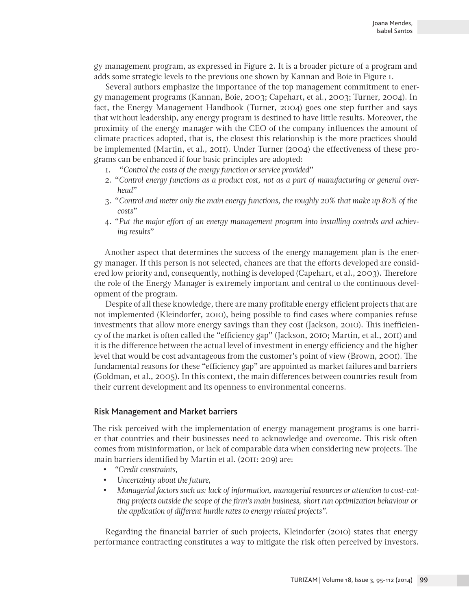gy management program, as expressed in Figure 2. It is a broader picture of a program and adds some strategic levels to the previous one shown by Kannan and Boie in Figure 1.

Several authors emphasize the importance of the top management commitment to energy management programs (Kannan, Boie, 2003; Capehart, et al., 2003; Turner, 2004). In fact, the Energy Management Handbook (Turner, 2004) goes one step further and says that without leadership, any energy program is destined to have little results. Moreover, the proximity of the energy manager with the CEO of the company influences the amount of climate practices adopted, that is, the closest this relationship is the more practices should be implemented (Martin, et al., 2011). Under Turner (2004) the effectiveness of these programs can be enhanced if four basic principles are adopted:

- 1. "*Control the costs of the energy function or service provided*"
- 2. "*Control energy functions as a product cost, not as a part of manufacturing or general overhead*"
- 3. "*Control and meter only the main energy functions, the roughly 20% that make up 80% of the costs*"
- 4. "*Put the major effort of an energy management program into installing controls and achieving results*"

Another aspect that determines the success of the energy management plan is the energy manager. If this person is not selected, chances are that the efforts developed are considered low priority and, consequently, nothing is developed (Capehart, et al., 2003). Therefore the role of the Energy Manager is extremely important and central to the continuous development of the program.

Despite of all these knowledge, there are many profitable energy efficient projects that are not implemented (Kleindorfer, 2010), being possible to find cases where companies refuse investments that allow more energy savings than they cost (Jackson, 2010). This inefficiency of the market is often called the "efficiency gap" (Jackson, 2010; Martin, et al., 2011) and it is the difference between the actual level of investment in energy efficiency and the higher level that would be cost advantageous from the customer's point of view (Brown, 2001). The fundamental reasons for these "efficiency gap" are appointed as market failures and barriers (Goldman, et al., 2005). In this context, the main differences between countries result from their current development and its openness to environmental concerns.

#### Risk Management and Market barriers

The risk perceived with the implementation of energy management programs is one barrier that countries and their businesses need to acknowledge and overcome. This risk often comes from misinformation, or lack of comparable data when considering new projects. The main barriers identified by Martin et al. (2011: 209) are:

- *"Credit constraints,*
- *Uncertainty about the future,*
- *Managerial factors such as: lack of information, managerial resources or attention to cost-cutting projects outside the scope of the firm's main business, short run optimization behaviour or the application of different hurdle rates to energy related projects".*

Regarding the financial barrier of such projects, Kleindorfer (2010) states that energy performance contracting constitutes a way to mitigate the risk often perceived by investors.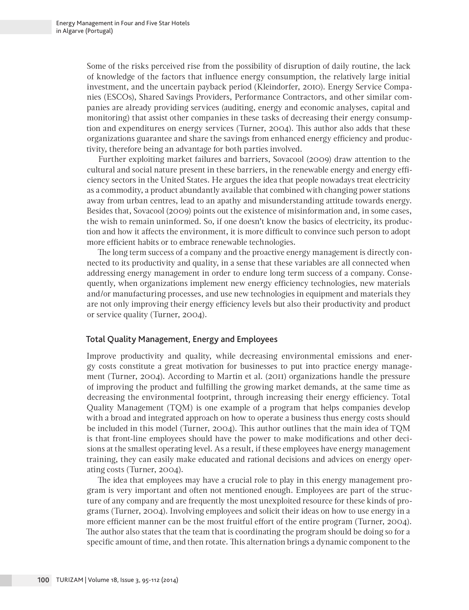Some of the risks perceived rise from the possibility of disruption of daily routine, the lack of knowledge of the factors that influence energy consumption, the relatively large initial investment, and the uncertain payback period (Kleindorfer, 2010). Energy Service Companies (ESCOs), Shared Savings Providers, Performance Contractors, and other similar companies are already providing services (auditing, energy and economic analyses, capital and monitoring) that assist other companies in these tasks of decreasing their energy consumption and expenditures on energy services (Turner, 2004). This author also adds that these organizations guarantee and share the savings from enhanced energy efficiency and productivity, therefore being an advantage for both parties involved.

Further exploiting market failures and barriers, Sovacool (2009) draw attention to the cultural and social nature present in these barriers, in the renewable energy and energy efficiency sectors in the United States. He argues the idea that people nowadays treat electricity as a commodity, a product abundantly available that combined with changing power stations away from urban centres, lead to an apathy and misunderstanding attitude towards energy. Besides that, Sovacool (2009) points out the existence of misinformation and, in some cases, the wish to remain uninformed. So, if one doesn't know the basics of electricity, its production and how it affects the environment, it is more difficult to convince such person to adopt more efficient habits or to embrace renewable technologies.

The long term success of a company and the proactive energy management is directly connected to its productivity and quality, in a sense that these variables are all connected when addressing energy management in order to endure long term success of a company. Consequently, when organizations implement new energy efficiency technologies, new materials and/or manufacturing processes, and use new technologies in equipment and materials they are not only improving their energy efficiency levels but also their productivity and product or service quality (Turner, 2004).

## Total Quality Management, Energy and Employees

Improve productivity and quality, while decreasing environmental emissions and energy costs constitute a great motivation for businesses to put into practice energy management (Turner, 2004). According to Martin et al. (2011) organizations handle the pressure of improving the product and fulfilling the growing market demands, at the same time as decreasing the environmental footprint, through increasing their energy efficiency. Total Quality Management (TQM) is one example of a program that helps companies develop with a broad and integrated approach on how to operate a business thus energy costs should be included in this model (Turner, 2004). This author outlines that the main idea of TQM is that front-line employees should have the power to make modifications and other decisions at the smallest operating level. As a result, if these employees have energy management training, they can easily make educated and rational decisions and advices on energy operating costs (Turner, 2004).

The idea that employees may have a crucial role to play in this energy management program is very important and often not mentioned enough. Employees are part of the structure of any company and are frequently the most unexploited resource for these kinds of programs (Turner, 2004). Involving employees and solicit their ideas on how to use energy in a more efficient manner can be the most fruitful effort of the entire program (Turner, 2004). The author also states that the team that is coordinating the program should be doing so for a specific amount of time, and then rotate. This alternation brings a dynamic component to the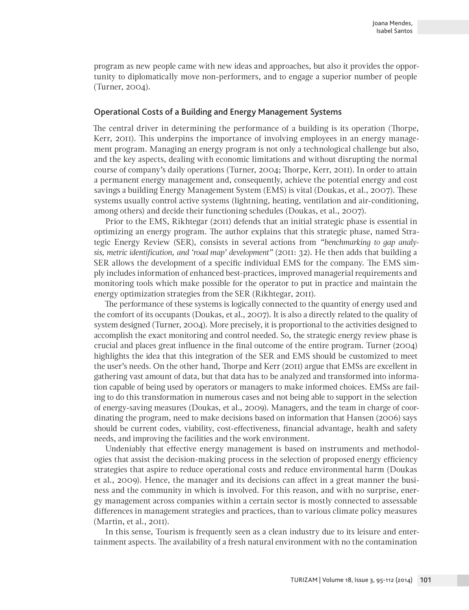program as new people came with new ideas and approaches, but also it provides the opportunity to diplomatically move non-performers, and to engage a superior number of people (Turner, 2004).

#### Operational Costs of a Building and Energy Management Systems

The central driver in determining the performance of a building is its operation (Thorpe, Kerr, 2011). This underpins the importance of involving employees in an energy management program. Managing an energy program is not only a technological challenge but also, and the key aspects, dealing with economic limitations and without disrupting the normal course of company's daily operations (Turner, 2004; Thorpe, Kerr, 2011). In order to attain a permanent energy management and, consequently, achieve the potential energy and cost savings a building Energy Management System (EMS) is vital (Doukas, et al., 2007). These systems usually control active systems (lightning, heating, ventilation and air-conditioning, among others) and decide their functioning schedules (Doukas, et al., 2007).

Prior to the EMS, Rikhtegar (2011) defends that an initial strategic phase is essential in optimizing an energy program. The author explains that this strategic phase, named Strategic Energy Review (SER), consists in several actions from *"benchmarking to gap analysis, metric identification, and 'road map' development"* (2011: 32). He then adds that building a SER allows the development of a specific individual EMS for the company. The EMS simply includes information of enhanced best-practices, improved managerial requirements and monitoring tools which make possible for the operator to put in practice and maintain the energy optimization strategies from the SER (Rikhtegar, 2011).

The performance of these systems is logically connected to the quantity of energy used and the comfort of its occupants (Doukas, et al., 2007). It is also a directly related to the quality of system designed (Turner, 2004). More precisely, it is proportional to the activities designed to accomplish the exact monitoring and control needed. So, the strategic energy review phase is crucial and places great influence in the final outcome of the entire program. Turner (2004) highlights the idea that this integration of the SER and EMS should be customized to meet the user's needs. On the other hand, Thorpe and Kerr (2011) argue that EMSs are excellent in gathering vast amount of data, but that data has to be analyzed and transformed into information capable of being used by operators or managers to make informed choices. EMSs are failing to do this transformation in numerous cases and not being able to support in the selection of energy-saving measures (Doukas, et al., 2009). Managers, and the team in charge of coordinating the program, need to make decisions based on information that Hansen (2006) says should be current codes, viability, cost-effectiveness, financial advantage, health and safety needs, and improving the facilities and the work environment.

Undeniably that effective energy management is based on instruments and methodologies that assist the decision-making process in the selection of proposed energy efficiency strategies that aspire to reduce operational costs and reduce environmental harm (Doukas et al., 2009). Hence, the manager and its decisions can affect in a great manner the business and the community in which is involved. For this reason, and with no surprise, energy management across companies within a certain sector is mostly connected to assessable differences in management strategies and practices, than to various climate policy measures (Martin, et al., 2011).

In this sense, Tourism is frequently seen as a clean industry due to its leisure and entertainment aspects. The availability of a fresh natural environment with no the contamination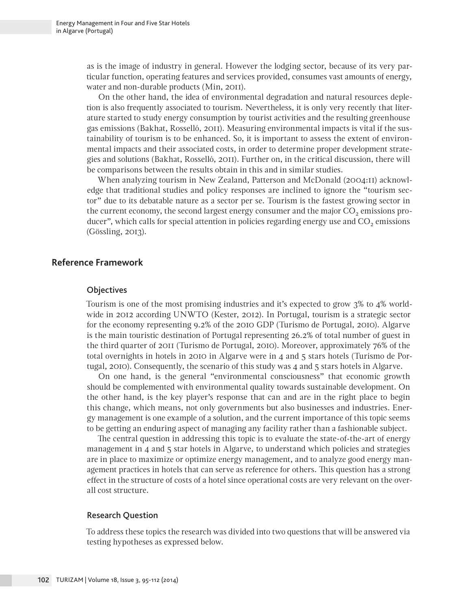as is the image of industry in general. However the lodging sector, because of its very particular function, operating features and services provided, consumes vast amounts of energy, water and non-durable products (Min, 2011).

On the other hand, the idea of environmental degradation and natural resources depletion is also frequently associated to tourism. Nevertheless, it is only very recently that literature started to study energy consumption by tourist activities and the resulting greenhouse gas emissions (Bakhat, Rosselló, 2011). Measuring environmental impacts is vital if the sustainability of tourism is to be enhanced. So, it is important to assess the extent of environmental impacts and their associated costs, in order to determine proper development strategies and solutions (Bakhat, Rosselló, 2011). Further on, in the critical discussion, there will be comparisons between the results obtain in this and in similar studies.

When analyzing tourism in New Zealand, Patterson and McDonald (2004:11) acknowledge that traditional studies and policy responses are inclined to ignore the "tourism sector" due to its debatable nature as a sector per se. Tourism is the fastest growing sector in the current economy, the second largest energy consumer and the major  $CO<sub>2</sub>$  emissions producer", which calls for special attention in policies regarding energy use and  $CO<sub>2</sub>$  emissions (Gössling, 2013).

# **Reference Framework**

#### **Objectives**

Tourism is one of the most promising industries and it's expected to grow 3% to 4% worldwide in 2012 according UNWTO (Kester, 2012). In Portugal, tourism is a strategic sector for the economy representing 9.2% of the 2010 GDP (Turismo de Portugal, 2010). Algarve is the main touristic destination of Portugal representing 26.2% of total number of guest in the third quarter of 2011 (Turismo de Portugal, 2010). Moreover, approximately 76% of the total overnights in hotels in 2010 in Algarve were in 4 and 5 stars hotels (Turismo de Portugal, 2010). Consequently, the scenario of this study was 4 and 5 stars hotels in Algarve.

On one hand, is the general "environmental consciousness" that economic growth should be complemented with environmental quality towards sustainable development. On the other hand, is the key player's response that can and are in the right place to begin this change, which means, not only governments but also businesses and industries. Energy management is one example of a solution, and the current importance of this topic seems to be getting an enduring aspect of managing any facility rather than a fashionable subject.

The central question in addressing this topic is to evaluate the state-of-the-art of energy management in 4 and 5 star hotels in Algarve, to understand which policies and strategies are in place to maximize or optimize energy management, and to analyze good energy management practices in hotels that can serve as reference for others. This question has a strong effect in the structure of costs of a hotel since operational costs are very relevant on the overall cost structure.

#### Research Question

To address these topics the research was divided into two questions that will be answered via testing hypotheses as expressed below.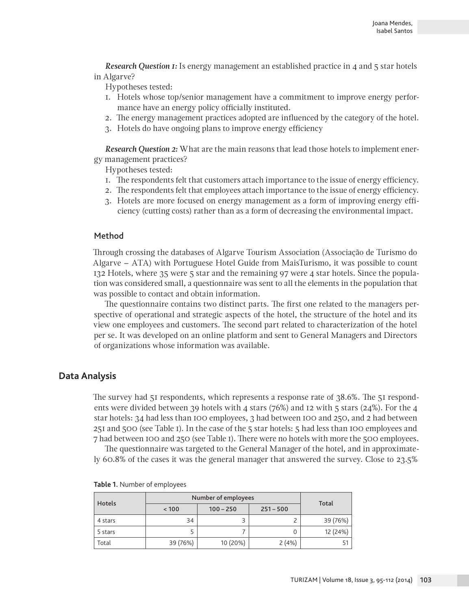*Research Question 1:* Is energy management an established practice in 4 and 5 star hotels in Algarve?

Hypotheses tested:

- 1. Hotels whose top/senior management have a commitment to improve energy performance have an energy policy officially instituted.
- 2. The energy management practices adopted are influenced by the category of the hotel.
- 3. Hotels do have ongoing plans to improve energy efficiency

*Research Question 2:* What are the main reasons that lead those hotels to implement energy management practices?

Hypotheses tested:

- 1. The respondents felt that customers attach importance to the issue of energy efficiency.
- 2. The respondents felt that employees attach importance to the issue of energy efficiency.
- 3. Hotels are more focused on energy management as a form of improving energy efficiency (cutting costs) rather than as a form of decreasing the environmental impact.

#### Method

Through crossing the databases of Algarve Tourism Association (Associação de Turismo do Algarve – ATA) with Portuguese Hotel Guide from MaisTurismo, it was possible to count 132 Hotels, where 35 were 5 star and the remaining 97 were 4 star hotels. Since the population was considered small, a questionnaire was sent to all the elements in the population that was possible to contact and obtain information.

The questionnaire contains two distinct parts. The first one related to the managers perspective of operational and strategic aspects of the hotel, the structure of the hotel and its view one employees and customers. The second part related to characterization of the hotel per se. It was developed on an online platform and sent to General Managers and Directors of organizations whose information was available.

## **Data Analysis**

The survey had 51 respondents, which represents a response rate of 38.6%. The 51 respondents were divided between 39 hotels with 4 stars (76%) and 12 with 5 stars (24%). For the 4 star hotels: 34 had less than 100 employees, 3 had between 100 and 250, and 2 had between 251 and 500 (see Table 1). In the case of the 5 star hotels: 5 had less than 100 employees and 7 had between 100 and 250 (see Table 1). There were no hotels with more the 500 employees.

The questionnaire was targeted to the General Manager of the hotel, and in approximately 60.8% of the cases it was the general manager that answered the survey. Close to 23.5%

| <b>Hotels</b> | Number of employees |             |             | Total    |  |
|---------------|---------------------|-------------|-------------|----------|--|
|               | < 100               | $100 - 250$ | $251 - 500$ |          |  |
| 4 stars       | 34                  |             |             | 39 (76%) |  |
| 5 stars       |                     |             | 0           | 12 (24%) |  |
| Total         | 39 (76%)            | 10 (20%)    | 2(4%)       |          |  |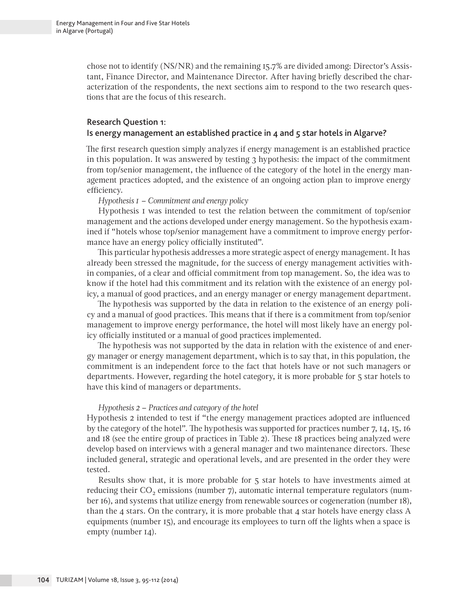chose not to identify (NS/NR) and the remaining 15.7% are divided among: Director's Assistant, Finance Director, and Maintenance Director. After having briefly described the characterization of the respondents, the next sections aim to respond to the two research questions that are the focus of this research.

#### Research Question 1:

## Is energy management an established practice in 4 and 5 star hotels in Algarve?

The first research question simply analyzes if energy management is an established practice in this population. It was answered by testing 3 hypothesis: the impact of the commitment from top/senior management, the influence of the category of the hotel in the energy management practices adopted, and the existence of an ongoing action plan to improve energy efficiency.

*Hypothesis 1 – Commitment and energy policy*

Hypothesis 1 was intended to test the relation between the commitment of top/senior management and the actions developed under energy management. So the hypothesis examined if "hotels whose top/senior management have a commitment to improve energy performance have an energy policy officially instituted".

This particular hypothesis addresses a more strategic aspect of energy management. It has already been stressed the magnitude, for the success of energy management activities within companies, of a clear and official commitment from top management. So, the idea was to know if the hotel had this commitment and its relation with the existence of an energy policy, a manual of good practices, and an energy manager or energy management department.

The hypothesis was supported by the data in relation to the existence of an energy policy and a manual of good practices. This means that if there is a commitment from top/senior management to improve energy performance, the hotel will most likely have an energy policy officially instituted or a manual of good practices implemented.

The hypothesis was not supported by the data in relation with the existence of and energy manager or energy management department, which is to say that, in this population, the commitment is an independent force to the fact that hotels have or not such managers or departments. However, regarding the hotel category, it is more probable for 5 star hotels to have this kind of managers or departments.

#### *Hypothesis 2 – Practices and category of the hotel*

Hypothesis 2 intended to test if "the energy management practices adopted are influenced by the category of the hotel". The hypothesis was supported for practices number 7, 14, 15, 16 and 18 (see the entire group of practices in Table 2). These 18 practices being analyzed were develop based on interviews with a general manager and two maintenance directors. These included general, strategic and operational levels, and are presented in the order they were tested.

Results show that, it is more probable for 5 star hotels to have investments aimed at reducing their  $CO<sub>2</sub>$  emissions (number 7), automatic internal temperature regulators (number 16), and systems that utilize energy from renewable sources or cogeneration (number 18), than the 4 stars. On the contrary, it is more probable that 4 star hotels have energy class  $A$ equipments (number 15), and encourage its employees to turn off the lights when a space is empty (number 14).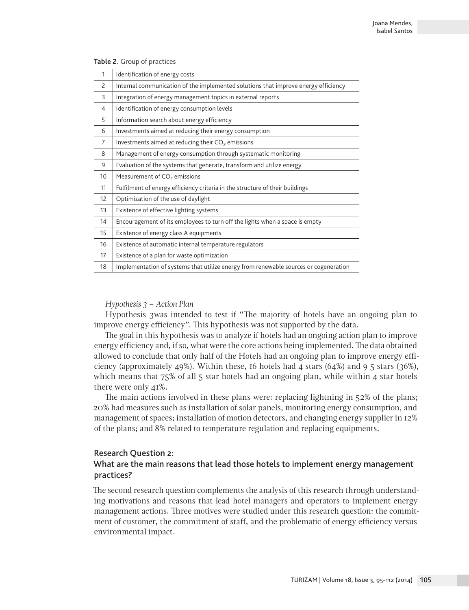| 1  | Identification of energy costs                                                       |
|----|--------------------------------------------------------------------------------------|
| 2  | Internal communication of the implemented solutions that improve energy efficiency   |
| 3  | Integration of energy management topics in external reports                          |
| 4  | Identification of energy consumption levels                                          |
| 5  | Information search about energy efficiency                                           |
| 6  | Investments aimed at reducing their energy consumption                               |
| 7  | Investments aimed at reducing their CO <sub>2</sub> emissions                        |
| 8  | Management of energy consumption through systematic monitoring                       |
| 9  | Evaluation of the systems that generate, transform and utilize energy                |
| 10 | Measurement of CO <sub>2</sub> emissions                                             |
| 11 | Fulfilment of energy efficiency criteria in the structure of their buildings         |
| 12 | Optimization of the use of daylight                                                  |
| 13 | Existence of effective lighting systems                                              |
| 14 | Encouragement of its employees to turn off the lights when a space is empty          |
| 15 | Existence of energy class A equipments                                               |
| 16 | Existence of automatic internal temperature regulators                               |
| 17 | Existence of a plan for waste optimization                                           |
| 18 | Implementation of systems that utilize energy from renewable sources or cogeneration |

**Table 2.** Group of practices

## *Hypothesis 3 – Action Plan*

Hypothesis 3was intended to test if "The majority of hotels have an ongoing plan to improve energy efficiency". This hypothesis was not supported by the data.

The goal in this hypothesis was to analyze if hotels had an ongoing action plan to improve energy efficiency and, if so, what were the core actions being implemented. The data obtained allowed to conclude that only half of the Hotels had an ongoing plan to improve energy efficiency (approximately 49%). Within these, 16 hotels had 4 stars  $(64%)$  and 9 5 stars  $(36%),$ which means that  $75\%$  of all  $5$  star hotels had an ongoing plan, while within 4 star hotels there were only 41%.

The main actions involved in these plans were: replacing lightning in 52% of the plans; 20% had measures such as installation of solar panels, monitoring energy consumption, and management of spaces; installation of motion detectors, and changing energy supplier in 12% of the plans; and 8% related to temperature regulation and replacing equipments.

#### Research Question 2:

# What are the main reasons that lead those hotels to implement energy management practices?

The second research question complements the analysis of this research through understanding motivations and reasons that lead hotel managers and operators to implement energy management actions. Three motives were studied under this research question: the commitment of customer, the commitment of staff, and the problematic of energy efficiency versus environmental impact.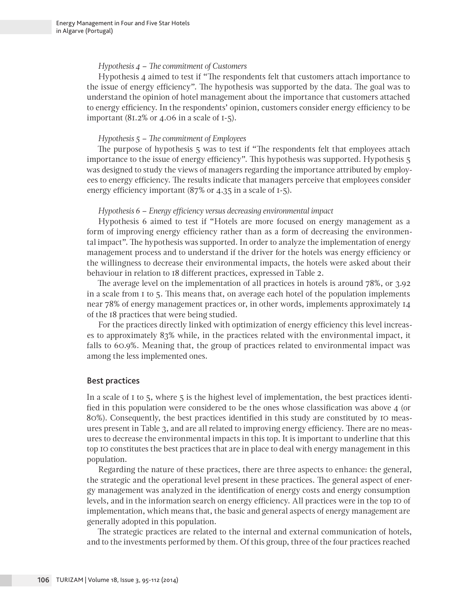#### *Hypothesis 4 – The commitment of Customers*

Hypothesis 4 aimed to test if "The respondents felt that customers attach importance to the issue of energy efficiency". The hypothesis was supported by the data. The goal was to understand the opinion of hotel management about the importance that customers attached to energy efficiency. In the respondents' opinion, customers consider energy efficiency to be important  $(81.2\% \text{ or } 4.06 \text{ in a scale of } 1.5)$ .

#### *Hypothesis 5 – The commitment of Employees*

The purpose of hypothesis 5 was to test if "The respondents felt that employees attach importance to the issue of energy efficiency". This hypothesis was supported. Hypothesis 5 was designed to study the views of managers regarding the importance attributed by employees to energy efficiency. The results indicate that managers perceive that employees consider energy efficiency important (87% or 4.35 in a scale of 1-5).

#### *Hypothesis 6 – Energy efficiency versus decreasing environmental impact*

Hypothesis 6 aimed to test if "Hotels are more focused on energy management as a form of improving energy efficiency rather than as a form of decreasing the environmental impact". The hypothesis was supported. In order to analyze the implementation of energy management process and to understand if the driver for the hotels was energy efficiency or the willingness to decrease their environmental impacts, the hotels were asked about their behaviour in relation to 18 different practices, expressed in Table 2.

The average level on the implementation of all practices in hotels is around 78%, or 3.92 in a scale from 1 to 5. This means that, on average each hotel of the population implements near 78% of energy management practices or, in other words, implements approximately 14 of the 18 practices that were being studied.

For the practices directly linked with optimization of energy efficiency this level increases to approximately 83% while, in the practices related with the environmental impact, it falls to 60.9%. Meaning that, the group of practices related to environmental impact was among the less implemented ones.

## Best practices

In a scale of 1 to 5, where 5 is the highest level of implementation, the best practices identified in this population were considered to be the ones whose classification was above 4 (or 80%). Consequently, the best practices identified in this study are constituted by 10 measures present in Table 3, and are all related to improving energy efficiency. There are no measures to decrease the environmental impacts in this top. It is important to underline that this top 10 constitutes the best practices that are in place to deal with energy management in this population.

Regarding the nature of these practices, there are three aspects to enhance: the general, the strategic and the operational level present in these practices. The general aspect of energy management was analyzed in the identification of energy costs and energy consumption levels, and in the information search on energy efficiency. All practices were in the top 10 of implementation, which means that, the basic and general aspects of energy management are generally adopted in this population.

The strategic practices are related to the internal and external communication of hotels, and to the investments performed by them. Of this group, three of the four practices reached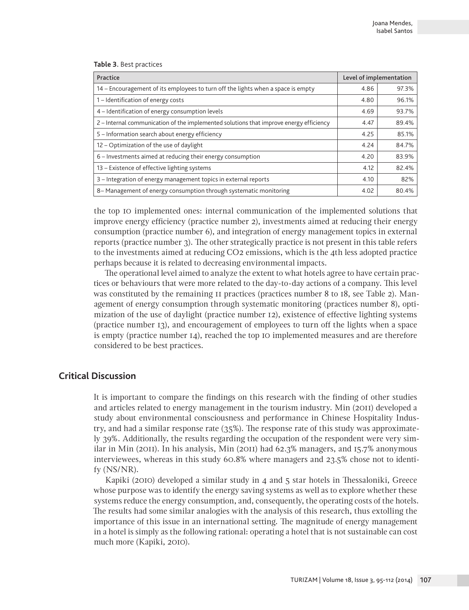**Table 3.** Best practices

| Practice                                                                               |      | Level of implementation |  |
|----------------------------------------------------------------------------------------|------|-------------------------|--|
| 14 – Encouragement of its employees to turn off the lights when a space is empty       | 4.86 | 97.3%                   |  |
| 1-Identification of energy costs                                                       |      | 96.1%                   |  |
| 4 – Identification of energy consumption levels                                        | 4.69 | 93.7%                   |  |
| 2 - Internal communication of the implemented solutions that improve energy efficiency | 4.47 | 89.4%                   |  |
| 5 - Information search about energy efficiency                                         |      | 85.1%                   |  |
| 12 - Optimization of the use of daylight                                               |      | 84.7%                   |  |
| 6 – Investments aimed at reducing their energy consumption                             | 4.20 | 83.9%                   |  |
| 13 – Existence of effective lighting systems                                           |      | 82.4%                   |  |
| 3 – Integration of energy management topics in external reports                        |      | 82%                     |  |
| 8– Management of energy consumption through systematic monitoring                      |      | 80.4%                   |  |

the top 10 implemented ones: internal communication of the implemented solutions that improve energy efficiency (practice number 2), investments aimed at reducing their energy consumption (practice number 6), and integration of energy management topics in external reports (practice number 3). The other strategically practice is not present in this table refers to the investments aimed at reducing CO2 emissions, which is the 4th less adopted practice perhaps because it is related to decreasing environmental impacts.

The operational level aimed to analyze the extent to what hotels agree to have certain practices or behaviours that were more related to the day-to-day actions of a company. This level was constituted by the remaining 11 practices (practices number 8 to 18, see Table 2). Management of energy consumption through systematic monitoring (practices number 8), optimization of the use of daylight (practice number 12), existence of effective lighting systems (practice number 13), and encouragement of employees to turn off the lights when a space is empty (practice number 14), reached the top 10 implemented measures and are therefore considered to be best practices.

# **Critical Discussion**

It is important to compare the findings on this research with the finding of other studies and articles related to energy management in the tourism industry. Min (2011) developed a study about environmental consciousness and performance in Chinese Hospitality Industry, and had a similar response rate (35%). The response rate of this study was approximately 39%. Additionally, the results regarding the occupation of the respondent were very similar in Min (2011). In his analysis, Min (2011) had 62.3% managers, and 15.7% anonymous interviewees, whereas in this study 60.8% where managers and 23.5% chose not to identify (NS/NR).

Kapiki (2010) developed a similar study in 4 and 5 star hotels in Thessaloniki, Greece whose purpose was to identify the energy saving systems as well as to explore whether these systems reduce the energy consumption, and, consequently, the operating costs of the hotels. The results had some similar analogies with the analysis of this research, thus extolling the importance of this issue in an international setting. The magnitude of energy management in a hotel is simply as the following rational: operating a hotel that is not sustainable can cost much more (Kapiki, 2010).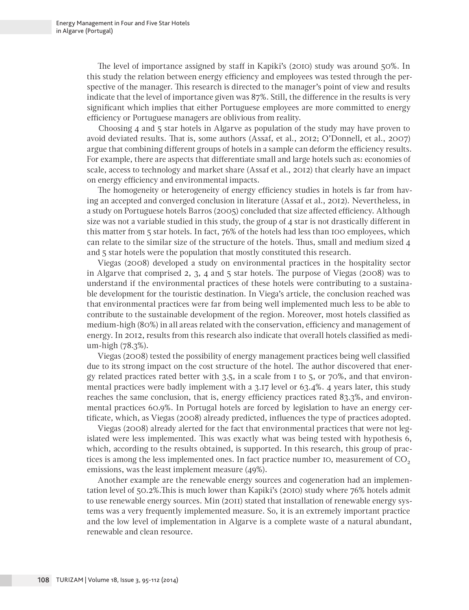The level of importance assigned by staff in Kapiki's (2010) study was around 50%. In this study the relation between energy efficiency and employees was tested through the perspective of the manager. This research is directed to the manager's point of view and results indicate that the level of importance given was 87%. Still, the difference in the results is very significant which implies that either Portuguese employees are more committed to energy efficiency or Portuguese managers are oblivious from reality.

Choosing 4 and 5 star hotels in Algarve as population of the study may have proven to avoid deviated results. That is, some authors (Assaf, et al., 2012; O'Donnell, et al., 2007) argue that combining different groups of hotels in a sample can deform the efficiency results. For example, there are aspects that differentiate small and large hotels such as: economies of scale, access to technology and market share (Assaf et al., 2012) that clearly have an impact on energy efficiency and environmental impacts.

The homogeneity or heterogeneity of energy efficiency studies in hotels is far from having an accepted and converged conclusion in literature (Assaf et al., 2012). Nevertheless, in a study on Portuguese hotels Barros (2005) concluded that size affected efficiency. Although size was not a variable studied in this study, the group of 4 star is not drastically different in this matter from 5 star hotels. In fact, 76% of the hotels had less than 100 employees, which can relate to the similar size of the structure of the hotels. Thus, small and medium sized 4 and 5 star hotels were the population that mostly constituted this research.

Viegas (2008) developed a study on environmental practices in the hospitality sector in Algarve that comprised 2, 3, 4 and 5 star hotels. The purpose of Viegas (2008) was to understand if the environmental practices of these hotels were contributing to a sustainable development for the touristic destination. In Viega's article, the conclusion reached was that environmental practices were far from being well implemented much less to be able to contribute to the sustainable development of the region. Moreover, most hotels classified as medium-high (80%) in all areas related with the conservation, efficiency and management of energy. In 2012, results from this research also indicate that overall hotels classified as medium-high (78.3%).

Viegas (2008) tested the possibility of energy management practices being well classified due to its strong impact on the cost structure of the hotel. The author discovered that energy related practices rated better with 3.5, in a scale from 1 to 5, or 70%, and that environmental practices were badly implement with a 3.17 level or 63.4%. 4 years later, this study reaches the same conclusion, that is, energy efficiency practices rated 83.3%, and environmental practices 60.9%. In Portugal hotels are forced by legislation to have an energy certificate, which, as Viegas (2008) already predicted, influences the type of practices adopted.

Viegas (2008) already alerted for the fact that environmental practices that were not legislated were less implemented. This was exactly what was being tested with hypothesis 6, which, according to the results obtained, is supported. In this research, this group of practices is among the less implemented ones. In fact practice number  $IO$ , measurement of  $CO<sub>2</sub>$ emissions, was the least implement measure (49%).

Another example are the renewable energy sources and cogeneration had an implementation level of 50.2%.This is much lower than Kapiki's (2010) study where 76% hotels admit to use renewable energy sources. Min (2011) stated that installation of renewable energy systems was a very frequently implemented measure. So, it is an extremely important practice and the low level of implementation in Algarve is a complete waste of a natural abundant, renewable and clean resource.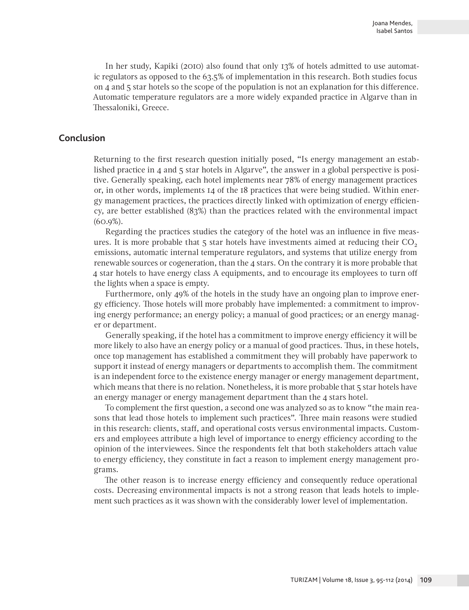In her study, Kapiki (2010) also found that only 13% of hotels admitted to use automatic regulators as opposed to the 63.5% of implementation in this research. Both studies focus on 4 and 5 star hotels so the scope of the population is not an explanation for this difference. Automatic temperature regulators are a more widely expanded practice in Algarve than in Thessaloniki, Greece.

# **Conclusion**

Returning to the first research question initially posed, "Is energy management an established practice in 4 and 5 star hotels in Algarve", the answer in a global perspective is positive. Generally speaking, each hotel implements near 78% of energy management practices or, in other words, implements 14 of the 18 practices that were being studied. Within energy management practices, the practices directly linked with optimization of energy efficiency, are better established (83%) than the practices related with the environmental impact (60.9%).

Regarding the practices studies the category of the hotel was an influence in five measures. It is more probable that  $5$  star hotels have investments aimed at reducing their  $CO<sub>2</sub>$ emissions, automatic internal temperature regulators, and systems that utilize energy from renewable sources or cogeneration, than the 4 stars. On the contrary it is more probable that 4 star hotels to have energy class A equipments, and to encourage its employees to turn off the lights when a space is empty.

Furthermore, only 49% of the hotels in the study have an ongoing plan to improve energy efficiency. Those hotels will more probably have implemented: a commitment to improving energy performance; an energy policy; a manual of good practices; or an energy manager or department.

Generally speaking, if the hotel has a commitment to improve energy efficiency it will be more likely to also have an energy policy or a manual of good practices. Thus, in these hotels, once top management has established a commitment they will probably have paperwork to support it instead of energy managers or departments to accomplish them. The commitment is an independent force to the existence energy manager or energy management department, which means that there is no relation. Nonetheless, it is more probable that 5 star hotels have an energy manager or energy management department than the 4 stars hotel.

To complement the first question, a second one was analyzed so as to know "the main reasons that lead those hotels to implement such practices". Three main reasons were studied in this research: clients, staff, and operational costs versus environmental impacts. Customers and employees attribute a high level of importance to energy efficiency according to the opinion of the interviewees. Since the respondents felt that both stakeholders attach value to energy efficiency, they constitute in fact a reason to implement energy management programs.

The other reason is to increase energy efficiency and consequently reduce operational costs. Decreasing environmental impacts is not a strong reason that leads hotels to implement such practices as it was shown with the considerably lower level of implementation.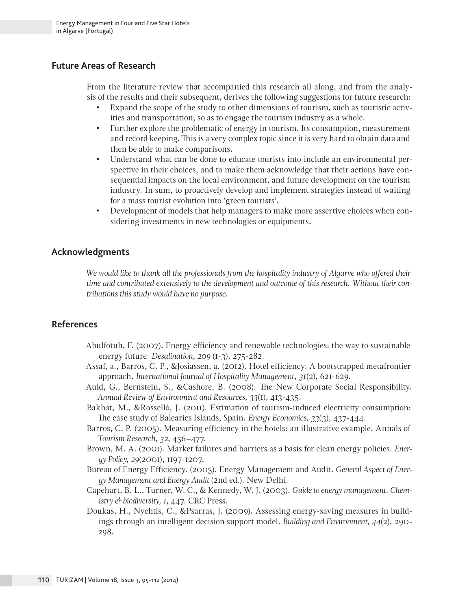# **Future Areas of Research**

From the literature review that accompanied this research all along, and from the analysis of the results and their subsequent, derives the following suggestions for future research:

- Expand the scope of the study to other dimensions of tourism, such as touristic activities and transportation, so as to engage the tourism industry as a whole.
- Further explore the problematic of energy in tourism. Its consumption, measurement and record keeping. This is a very complex topic since it is very hard to obtain data and then be able to make comparisons.
- Understand what can be done to educate tourists into include an environmental perspective in their choices, and to make them acknowledge that their actions have consequential impacts on the local environment, and future development on the tourism industry. In sum, to proactively develop and implement strategies instead of waiting for a mass tourist evolution into 'green tourists'.
- Development of models that help managers to make more assertive choices when considering investments in new technologies or equipments.

# **Acknowledgments**

*We would like to thank all the professionals from the hospitality industry of Algarve who offered their time and contributed extensively to the development and outcome of this research. Without their contributions this study would have no purpose.*

# **References**

- Abulfotuh, F. (2007). Energy efficiency and renewable technologies: the way to sustainable energy future. *Desalination*, *209* (1-3), 275-282.
- Assaf, a., Barros, C. P., &Josiassen, a. (2012). Hotel efficiency: A bootstrapped metafrontier approach. *International Journal of Hospitality Management*, *31*(2), 621-629.
- Auld, G., Bernstein, S., &Cashore, B. (2008). The New Corporate Social Responsibility. *Annual Review of Environment and Resources, 33*(1), 413-435.
- Bakhat, M., &Rosselló, J. (2011). Estimation of tourism-induced electricity consumption: The case study of Balearics Islands, Spain. *Energy Economics, 33*(3), 437-444.
- Barros, C. P. (2005). Measuring efficiency in the hotels: an illustrative example. Annals of *Tourism Research, 32*, 456–477.
- Brown, M. A. (2001). Market failures and barriers as a basis for clean energy policies. *Energy Policy, 29*(2001), 1197-1207.
- Bureau of Energy Efficiency. (2005). Energy Management and Audit. *General Aspect of Energy Management and Energy Audit* (2nd ed.). New Delhi.
- Capehart, B. L., Turner, W. C., & Kennedy, W. J. (2003). *Guide to energy management. Chemistry & biodiversity, 1*, 447. CRC Press.
- Doukas, H., Nychtis, C., &Psarras, J. (2009). Assessing energy-saving measures in buildings through an intelligent decision support model. *Building and Environment, 44*(2), 290- 298.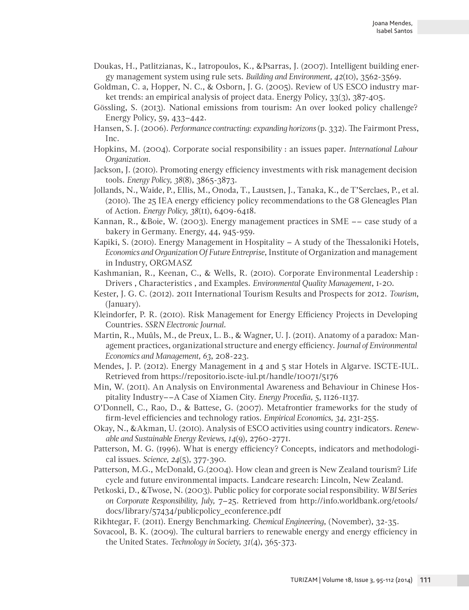- Doukas, H., Patlitzianas, K., Iatropoulos, K., &Psarras, J. (2007). Intelligent building energy management system using rule sets. *Building and Environment, 42*(10), 3562-3569.
- Goldman, C. a, Hopper, N. C., & Osborn, J. G. (2005). Review of US ESCO industry market trends: an empirical analysis of project data. Energy Policy, 33(3), 387-405.
- Gössling, S. (2013). National emissions from tourism: An over looked policy challenge? Energy Policy, 59, 433–442.
- Hansen, S. J. (2006). *Performance contracting: expanding horizons* (p. 332). The Fairmont Press, Inc.
- Hopkins, M. (2004). Corporate social responsibility : an issues paper. *International Labour Organization*.
- Jackson, J. (2010). Promoting energy efficiency investments with risk management decision tools. *Energy Policy, 38*(8), 3865-3873.
- Jollands, N., Waide, P., Ellis, M., Onoda, T., Laustsen, J., Tanaka, K., de T'Serclaes, P., et al. (2010). The 25 IEA energy efficiency policy recommendations to the G8 Gleneagles Plan of Action. *Energy Policy, 38*(11), 6409-6418.
- Kannan, R., &Boie, W. (2003). Energy management practices in SME –– case study of a bakery in Germany. Energy, 44, 945-959.
- Kapiki, S. (2010). Energy Management in Hospitality A study of the Thessaloniki Hotels, *Economics and Organization Of Future Entreprise*, Institute of Organization and management in Industry, ORGMASZ
- Kashmanian, R., Keenan, C., & Wells, R. (2010). Corporate Environmental Leadership : Drivers , Characteristics , and Examples. *Environmental Quality Management*, 1-20.
- Kester, J. G. C. (2012). 2011 International Tourism Results and Prospects for 2012. *Tourism*, (January).
- Kleindorfer, P. R. (2010). Risk Management for Energy Efficiency Projects in Developing Countries. *SSRN Electronic Journal*.
- Martin, R., Muûls, M., de Preux, L. B., & Wagner, U. J. (2011). Anatomy of a paradox: Management practices, organizational structure and energy efficiency. *Journal of Environmental Economics and Management, 63*, 208-223.
- Mendes, J. P. (2012). Energy Management in 4 and 5 star Hotels in Algarve. ISCTE-IUL. Retrieved from https://repositorio.iscte-iul.pt/handle/10071/5176
- Min, W. (2011). An Analysis on Environmental Awareness and Behaviour in Chinese Hospitality Industry––A Case of Xiamen City. *Energy Procedia, 5,* 1126-1137.
- O'Donnell, C., Rao, D., & Battese, G. (2007). Metafrontier frameworks for the study of firm-level efficiencies and technology ratios*. Empirical Economics, 34,* 231-255.
- Okay, N., &Akman, U. (2010). Analysis of ESCO activities using country indicators. *Renewable and Sustainable Energy Reviews, 14*(9), 2760-2771.
- Patterson, M. G. (1996). What is energy efficiency? Concepts, indicators and methodological issues. *Science, 24*(5), 377-390.
- Patterson, M.G., McDonald, G.(2004). How clean and green is New Zealand tourism? Life cycle and future environmental impacts. Landcare research: Lincoln, New Zealand.
- Petkoski, D., &Twose, N. (2003). Public policy for corporate social responsibility. *WBI Series on Corporate Responsibility, July,* 7–25. Retrieved from http://info.worldbank.org/etools/ docs/library/57434/publicpolicy\_econference.pdf
- Rikhtegar, F. (2011). Energy Benchmarking. *Chemical Engineering*, (November), 32-35.
- Sovacool, B. K. (2009). The cultural barriers to renewable energy and energy efficiency in the United States. *Technology in Society, 31*(4), 365-373.